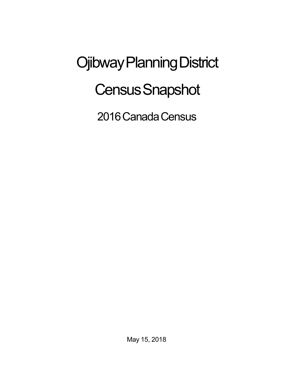Ojibway Planning District **Census Snapshot** 

2016 Canada Census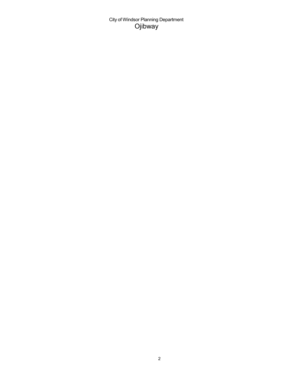City of Windsor Planning Department Ojibway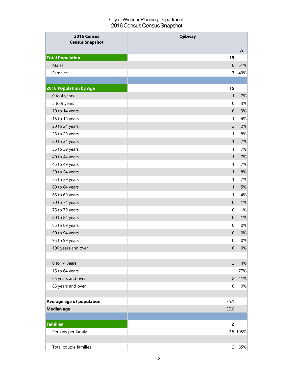## City of Windsor Planning Department 2016 Census Census Snapshot

| 2016 Census<br><b>Census Snapshot</b> | <b>Ojibway</b>          |            |
|---------------------------------------|-------------------------|------------|
|                                       |                         | $\%$       |
| <b>Total Population</b>               | 15                      |            |
| Males                                 | 8                       | 51%        |
| Females                               | $\overline{7}$          | 49%        |
|                                       |                         |            |
| <b>2016 Population by Age</b>         | 15                      |            |
| 0 to 4 years                          | 1                       | $7%$       |
| 5 to 9 years                          | 0                       | 3%         |
| 10 to 14 years                        | $\mathbf 0$             | 3%         |
| 15 to 19 years                        | 1                       | 4%         |
| 20 to 24 years                        | $\overline{c}$          | 12%        |
| 25 to 29 years                        | 1                       | 8%         |
| 30 to 34 years                        | $\mathbf{1}$            | 7%         |
| 35 to 39 years                        | 1                       | 7%         |
| 40 to 44 years                        | 1                       | 7%         |
| 45 to 49 years                        | 1                       | 7%         |
| 50 to 54 years                        | 1                       | 8%         |
| 55 to 59 years                        | 1                       | 7%         |
| 60 to 64 years                        | $\mathbf{1}$            | 5%         |
| 65 to 69 years                        | 1                       | 4%         |
| 70 to 74 years                        | $\mathbf 0$             | 1%         |
| 75 to 79 years                        | $\boldsymbol{0}$        | 1%         |
| 80 to 84 years                        | $\pmb{0}$               | 1%         |
| 85 to 89 years                        | $\vert 0 \vert$         | $0\%$      |
| 90 to 94 years                        | $\boldsymbol{0}$        | $0\%$      |
| 95 to 99 years                        | 0                       | $0\%$      |
| 100 years and over                    | $\pmb{0}$               | $0\%$      |
|                                       |                         |            |
| 0 to 14 years                         | $\overline{c}$          | 14%        |
| 15 to 64 years                        | 11                      | 77%        |
| 65 years and over                     | $\overline{2}$          | 11%        |
| 85 years and over                     | 0                       | $0\%$      |
|                                       |                         |            |
| Average age of population             | 35.1                    |            |
| <b>Median age</b>                     | 37.0                    |            |
|                                       |                         |            |
| <b>Families</b>                       | $\overline{\mathbf{c}}$ |            |
| Persons per family                    |                         | $2.5$ 105% |
|                                       |                         |            |
| Total couple families                 | $\overline{2}$          | 65%        |